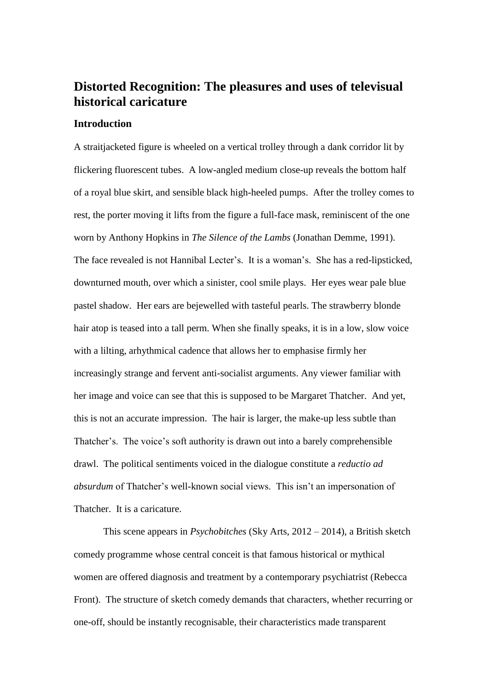# **Distorted Recognition: The pleasures and uses of televisual historical caricature**

## **Introduction**

A straitjacketed figure is wheeled on a vertical trolley through a dank corridor lit by flickering fluorescent tubes. A low-angled medium close-up reveals the bottom half of a royal blue skirt, and sensible black high-heeled pumps. After the trolley comes to rest, the porter moving it lifts from the figure a full-face mask, reminiscent of the one worn by Anthony Hopkins in *The Silence of the Lambs* (Jonathan Demme, 1991). The face revealed is not Hannibal Lecter's. It is a woman's. She has a red-lipsticked, downturned mouth, over which a sinister, cool smile plays. Her eyes wear pale blue pastel shadow. Her ears are bejewelled with tasteful pearls. The strawberry blonde hair atop is teased into a tall perm. When she finally speaks, it is in a low, slow voice with a lilting, arhythmical cadence that allows her to emphasise firmly her increasingly strange and fervent anti-socialist arguments. Any viewer familiar with her image and voice can see that this is supposed to be Margaret Thatcher. And yet, this is not an accurate impression. The hair is larger, the make-up less subtle than Thatcher's. The voice's soft authority is drawn out into a barely comprehensible drawl. The political sentiments voiced in the dialogue constitute a *reductio ad absurdum* of Thatcher's well-known social views. This isn't an impersonation of Thatcher. It is a caricature.

This scene appears in *Psychobitches* (Sky Arts, 2012 – 2014), a British sketch comedy programme whose central conceit is that famous historical or mythical women are offered diagnosis and treatment by a contemporary psychiatrist (Rebecca Front). The structure of sketch comedy demands that characters, whether recurring or one-off, should be instantly recognisable, their characteristics made transparent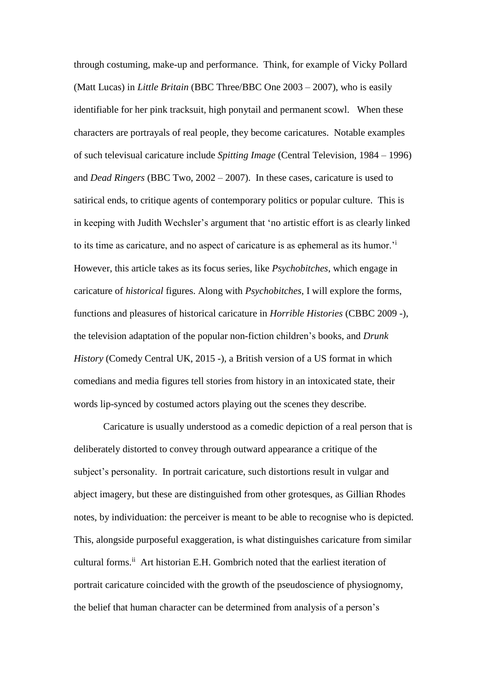through costuming, make-up and performance. Think, for example of Vicky Pollard (Matt Lucas) in *Little Britain* (BBC Three/BBC One 2003 – 2007), who is easily identifiable for her pink tracksuit, high ponytail and permanent scowl. When these characters are portrayals of real people, they become caricatures. Notable examples of such televisual caricature include *Spitting Image* (Central Television, 1984 – 1996) and *Dead Ringers* (BBC Two, 2002 – 2007). In these cases, caricature is used to satirical ends, to critique agents of contemporary politics or popular culture. This is in keeping with Judith Wechsler's argument that 'no artistic effort is as clearly linked to its time as caricature, and no aspect of caricature is as ephemeral as its humor.'<sup>i</sup> However, this article takes as its focus series, like *Psychobitches*, which engage in caricature of *historical* figures. Along with *Psychobitches*, I will explore the forms, functions and pleasures of historical caricature in *Horrible Histories* (CBBC 2009 -), the television adaptation of the popular non-fiction children's books, and *Drunk History* (Comedy Central UK, 2015 -), a British version of a US format in which comedians and media figures tell stories from history in an intoxicated state, their words lip-synced by costumed actors playing out the scenes they describe.

Caricature is usually understood as a comedic depiction of a real person that is deliberately distorted to convey through outward appearance a critique of the subject's personality. In portrait caricature, such distortions result in vulgar and abject imagery, but these are distinguished from other grotesques, as Gillian Rhodes notes, by individuation: the perceiver is meant to be able to recognise who is depicted. This, alongside purposeful exaggeration, is what distinguishes caricature from similar cultural forms.<sup>ii</sup> Art historian E.H. Gombrich noted that the earliest iteration of portrait caricature coincided with the growth of the pseudoscience of physiognomy, the belief that human character can be determined from analysis of a person's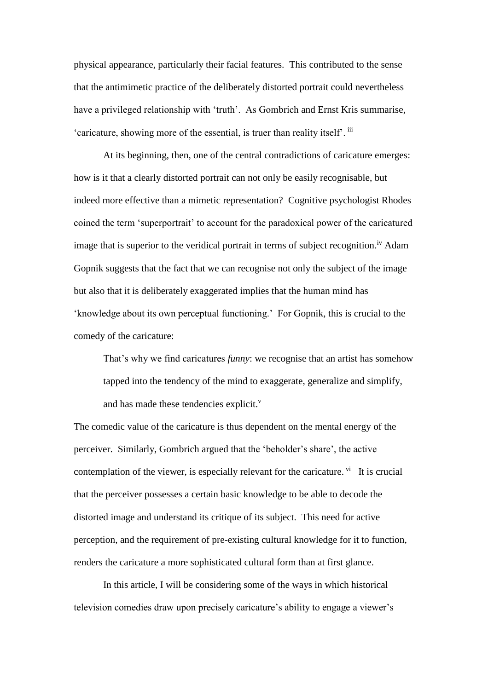physical appearance, particularly their facial features. This contributed to the sense that the antimimetic practice of the deliberately distorted portrait could nevertheless have a privileged relationship with 'truth'. As Gombrich and Ernst Kris summarise, 'caricature, showing more of the essential, is truer than reality itself'. iii

At its beginning, then, one of the central contradictions of caricature emerges: how is it that a clearly distorted portrait can not only be easily recognisable, but indeed more effective than a mimetic representation? Cognitive psychologist Rhodes coined the term 'superportrait' to account for the paradoxical power of the caricatured image that is superior to the veridical portrait in terms of subject recognition.<sup>iv</sup> Adam Gopnik suggests that the fact that we can recognise not only the subject of the image but also that it is deliberately exaggerated implies that the human mind has 'knowledge about its own perceptual functioning.' For Gopnik, this is crucial to the comedy of the caricature:

That's why we find caricatures *funny*: we recognise that an artist has somehow tapped into the tendency of the mind to exaggerate, generalize and simplify, and has made these tendencies explicit.<sup>v</sup>

The comedic value of the caricature is thus dependent on the mental energy of the perceiver. Similarly, Gombrich argued that the 'beholder's share', the active contemplation of the viewer, is especially relevant for the caricature. <sup>vi</sup> It is crucial that the perceiver possesses a certain basic knowledge to be able to decode the distorted image and understand its critique of its subject. This need for active perception, and the requirement of pre-existing cultural knowledge for it to function, renders the caricature a more sophisticated cultural form than at first glance.

In this article, I will be considering some of the ways in which historical television comedies draw upon precisely caricature's ability to engage a viewer's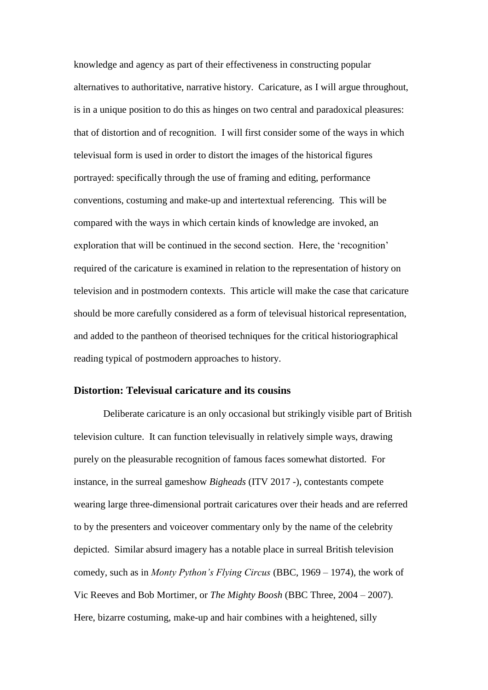knowledge and agency as part of their effectiveness in constructing popular alternatives to authoritative, narrative history. Caricature, as I will argue throughout, is in a unique position to do this as hinges on two central and paradoxical pleasures: that of distortion and of recognition. I will first consider some of the ways in which televisual form is used in order to distort the images of the historical figures portrayed: specifically through the use of framing and editing, performance conventions, costuming and make-up and intertextual referencing. This will be compared with the ways in which certain kinds of knowledge are invoked, an exploration that will be continued in the second section. Here, the 'recognition' required of the caricature is examined in relation to the representation of history on television and in postmodern contexts. This article will make the case that caricature should be more carefully considered as a form of televisual historical representation, and added to the pantheon of theorised techniques for the critical historiographical reading typical of postmodern approaches to history.

### **Distortion: Televisual caricature and its cousins**

Deliberate caricature is an only occasional but strikingly visible part of British television culture. It can function televisually in relatively simple ways, drawing purely on the pleasurable recognition of famous faces somewhat distorted. For instance, in the surreal gameshow *Bigheads* (ITV 2017 -), contestants compete wearing large three-dimensional portrait caricatures over their heads and are referred to by the presenters and voiceover commentary only by the name of the celebrity depicted. Similar absurd imagery has a notable place in surreal British television comedy, such as in *Monty Python's Flying Circus* (BBC, 1969 – 1974), the work of Vic Reeves and Bob Mortimer, or *The Mighty Boosh* (BBC Three, 2004 – 2007). Here, bizarre costuming, make-up and hair combines with a heightened, silly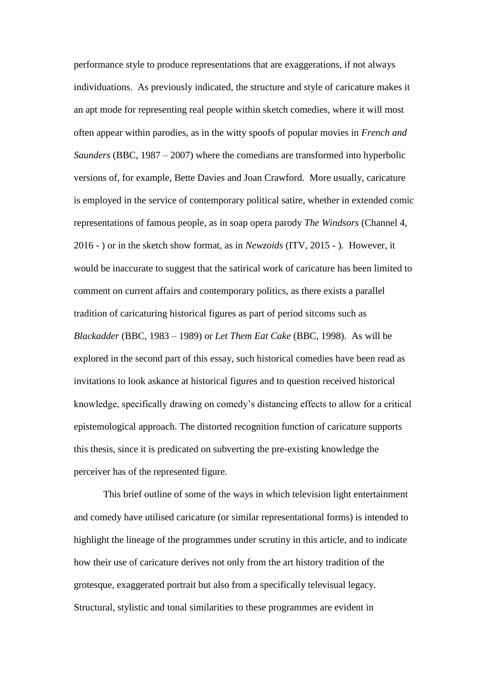performance style to produce representations that are exaggerations, if not always individuations. As previously indicated, the structure and style of caricature makes it an apt mode for representing real people within sketch comedies, where it will most often appear within parodies, as in the witty spoofs of popular movies in *French and Saunders* (BBC, 1987 – 2007) where the comedians are transformed into hyperbolic versions of, for example, Bette Davies and Joan Crawford. More usually, caricature is employed in the service of contemporary political satire, whether in extended comic representations of famous people, as in soap opera parody *The Windsors* (Channel 4, 2016 - ) or in the sketch show format, as in *Newzoids* (ITV, 2015 - )*.* However, it would be inaccurate to suggest that the satirical work of caricature has been limited to comment on current affairs and contemporary politics, as there exists a parallel tradition of caricaturing historical figures as part of period sitcoms such as *Blackadder* (BBC, 1983 – 1989) or *Let Them Eat Cake* (BBC, 1998). As will be explored in the second part of this essay, such historical comedies have been read as invitations to look askance at historical figures and to question received historical knowledge, specifically drawing on comedy's distancing effects to allow for a critical epistemological approach. The distorted recognition function of caricature supports this thesis, since it is predicated on subverting the pre-existing knowledge the perceiver has of the represented figure.

This brief outline of some of the ways in which television light entertainment and comedy have utilised caricature (or similar representational forms) is intended to highlight the lineage of the programmes under scrutiny in this article, and to indicate how their use of caricature derives not only from the art history tradition of the grotesque, exaggerated portrait but also from a specifically televisual legacy. Structural, stylistic and tonal similarities to these programmes are evident in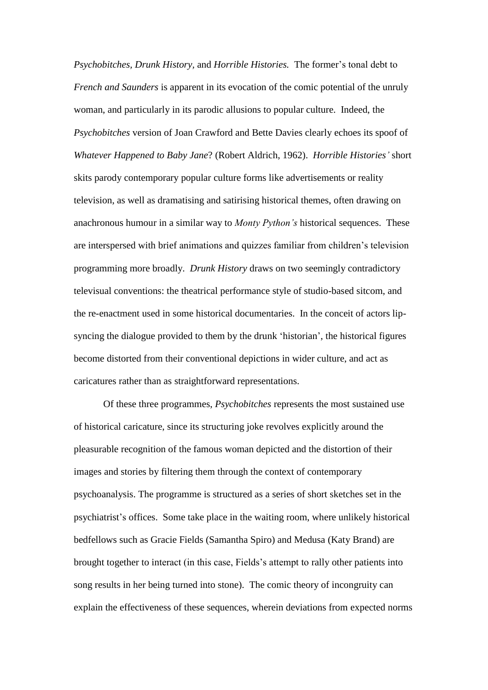*Psychobitches, Drunk History,* and *Horrible Histories.* The former's tonal debt to *French and Saunders* is apparent in its evocation of the comic potential of the unruly woman, and particularly in its parodic allusions to popular culture. Indeed, the *Psychobitches* version of Joan Crawford and Bette Davies clearly echoes its spoof of *Whatever Happened to Baby Jane*? (Robert Aldrich, 1962). *Horrible Histories'* short skits parody contemporary popular culture forms like advertisements or reality television, as well as dramatising and satirising historical themes, often drawing on anachronous humour in a similar way to *Monty Python's* historical sequences. These are interspersed with brief animations and quizzes familiar from children's television programming more broadly. *Drunk History* draws on two seemingly contradictory televisual conventions: the theatrical performance style of studio-based sitcom, and the re-enactment used in some historical documentaries. In the conceit of actors lipsyncing the dialogue provided to them by the drunk 'historian', the historical figures become distorted from their conventional depictions in wider culture, and act as caricatures rather than as straightforward representations.

Of these three programmes, *Psychobitches* represents the most sustained use of historical caricature, since its structuring joke revolves explicitly around the pleasurable recognition of the famous woman depicted and the distortion of their images and stories by filtering them through the context of contemporary psychoanalysis. The programme is structured as a series of short sketches set in the psychiatrist's offices. Some take place in the waiting room, where unlikely historical bedfellows such as Gracie Fields (Samantha Spiro) and Medusa (Katy Brand) are brought together to interact (in this case, Fields's attempt to rally other patients into song results in her being turned into stone). The comic theory of incongruity can explain the effectiveness of these sequences, wherein deviations from expected norms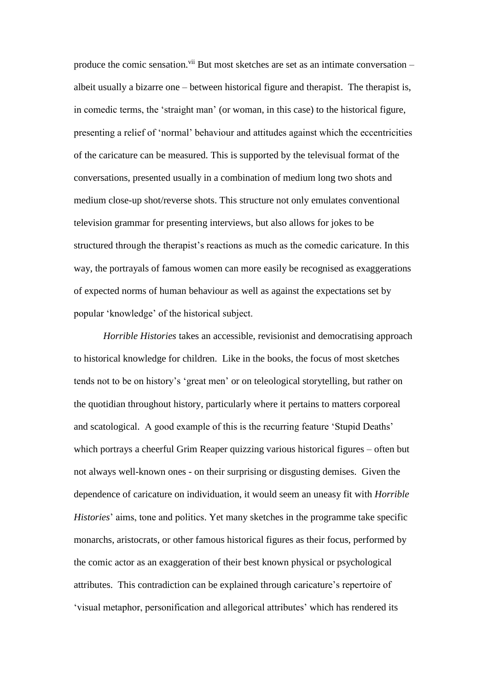produce the comic sensation.<sup> $vi$ </sup> But most sketches are set as an intimate conversation – albeit usually a bizarre one – between historical figure and therapist. The therapist is, in comedic terms, the 'straight man' (or woman, in this case) to the historical figure, presenting a relief of 'normal' behaviour and attitudes against which the eccentricities of the caricature can be measured. This is supported by the televisual format of the conversations, presented usually in a combination of medium long two shots and medium close-up shot/reverse shots. This structure not only emulates conventional television grammar for presenting interviews, but also allows for jokes to be structured through the therapist's reactions as much as the comedic caricature. In this way, the portrayals of famous women can more easily be recognised as exaggerations of expected norms of human behaviour as well as against the expectations set by popular 'knowledge' of the historical subject.

*Horrible Histories* takes an accessible, revisionist and democratising approach to historical knowledge for children. Like in the books, the focus of most sketches tends not to be on history's 'great men' or on teleological storytelling, but rather on the quotidian throughout history, particularly where it pertains to matters corporeal and scatological. A good example of this is the recurring feature 'Stupid Deaths' which portrays a cheerful Grim Reaper quizzing various historical figures – often but not always well-known ones - on their surprising or disgusting demises. Given the dependence of caricature on individuation, it would seem an uneasy fit with *Horrible Histories*' aims, tone and politics. Yet many sketches in the programme take specific monarchs, aristocrats, or other famous historical figures as their focus, performed by the comic actor as an exaggeration of their best known physical or psychological attributes. This contradiction can be explained through caricature's repertoire of 'visual metaphor, personification and allegorical attributes' which has rendered its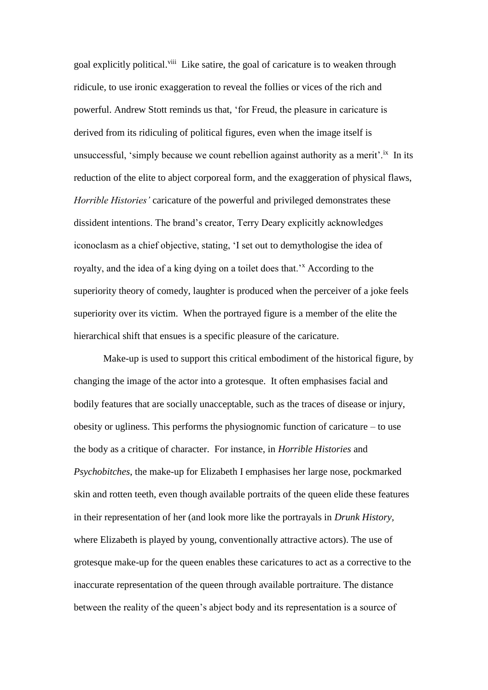goal explicitly political.<sup>viii</sup> Like satire, the goal of caricature is to weaken through ridicule, to use ironic exaggeration to reveal the follies or vices of the rich and powerful. Andrew Stott reminds us that, 'for Freud, the pleasure in caricature is derived from its ridiculing of political figures, even when the image itself is unsuccessful, 'simply because we count rebellion against authority as a merit'.<sup>ix</sup> In its reduction of the elite to abject corporeal form, and the exaggeration of physical flaws, *Horrible Histories'* caricature of the powerful and privileged demonstrates these dissident intentions. The brand's creator, Terry Deary explicitly acknowledges iconoclasm as a chief objective, stating, 'I set out to demythologise the idea of royalty, and the idea of a king dying on a toilet does that.<sup>3</sup> According to the superiority theory of comedy, laughter is produced when the perceiver of a joke feels superiority over its victim. When the portrayed figure is a member of the elite the hierarchical shift that ensues is a specific pleasure of the caricature.

Make-up is used to support this critical embodiment of the historical figure, by changing the image of the actor into a grotesque. It often emphasises facial and bodily features that are socially unacceptable, such as the traces of disease or injury, obesity or ugliness. This performs the physiognomic function of caricature – to use the body as a critique of character. For instance, in *Horrible Histories* and *Psychobitches*, the make-up for Elizabeth I emphasises her large nose, pockmarked skin and rotten teeth, even though available portraits of the queen elide these features in their representation of her (and look more like the portrayals in *Drunk History,*  where Elizabeth is played by young, conventionally attractive actors). The use of grotesque make-up for the queen enables these caricatures to act as a corrective to the inaccurate representation of the queen through available portraiture. The distance between the reality of the queen's abject body and its representation is a source of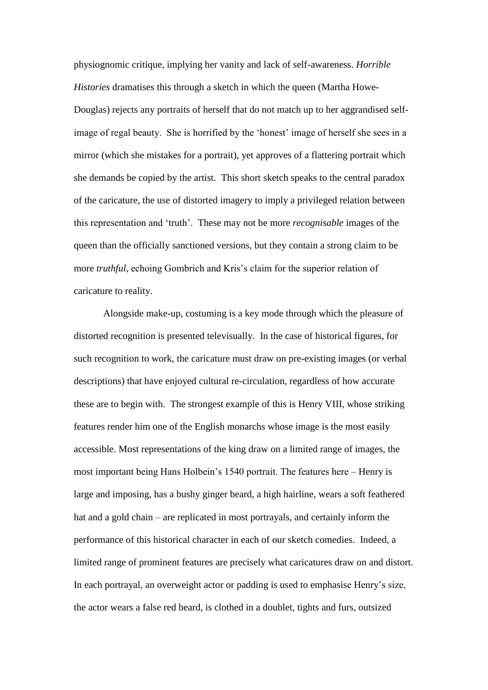physiognomic critique, implying her vanity and lack of self-awareness. *Horrible Histories* dramatises this through a sketch in which the queen (Martha Howe-Douglas) rejects any portraits of herself that do not match up to her aggrandised selfimage of regal beauty. She is horrified by the 'honest' image of herself she sees in a mirror (which she mistakes for a portrait), yet approves of a flattering portrait which she demands be copied by the artist. This short sketch speaks to the central paradox of the caricature, the use of distorted imagery to imply a privileged relation between this representation and 'truth'. These may not be more *recognisable* images of the queen than the officially sanctioned versions, but they contain a strong claim to be more *truthful*, echoing Gombrich and Kris's claim for the superior relation of caricature to reality.

Alongside make-up, costuming is a key mode through which the pleasure of distorted recognition is presented televisually. In the case of historical figures, for such recognition to work, the caricature must draw on pre-existing images (or verbal descriptions) that have enjoyed cultural re-circulation, regardless of how accurate these are to begin with. The strongest example of this is Henry VIII, whose striking features render him one of the English monarchs whose image is the most easily accessible. Most representations of the king draw on a limited range of images, the most important being Hans Holbein's 1540 portrait. The features here – Henry is large and imposing, has a bushy ginger beard, a high hairline, wears a soft feathered hat and a gold chain – are replicated in most portrayals, and certainly inform the performance of this historical character in each of our sketch comedies. Indeed, a limited range of prominent features are precisely what caricatures draw on and distort. In each portrayal, an overweight actor or padding is used to emphasise Henry's size, the actor wears a false red beard, is clothed in a doublet, tights and furs, outsized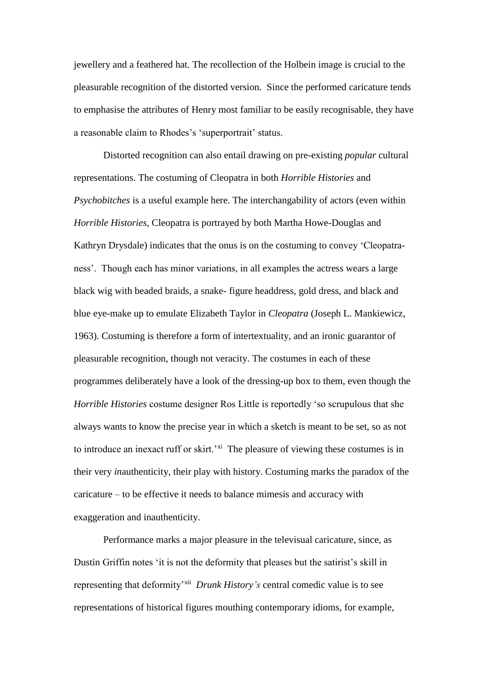jewellery and a feathered hat. The recollection of the Holbein image is crucial to the pleasurable recognition of the distorted version. Since the performed caricature tends to emphasise the attributes of Henry most familiar to be easily recognisable, they have a reasonable claim to Rhodes's 'superportrait' status.

Distorted recognition can also entail drawing on pre-existing *popular* cultural representations. The costuming of Cleopatra in both *Horrible Histories* and *Psychobitches* is a useful example here. The interchangability of actors (even within *Horrible Histories,* Cleopatra is portrayed by both Martha Howe-Douglas and Kathryn Drysdale) indicates that the onus is on the costuming to convey 'Cleopatraness'. Though each has minor variations, in all examples the actress wears a large black wig with beaded braids, a snake- figure headdress, gold dress, and black and blue eye-make up to emulate Elizabeth Taylor in *Cleopatra* (Joseph L. Mankiewicz, 1963). Costuming is therefore a form of intertextuality, and an ironic guarantor of pleasurable recognition, though not veracity. The costumes in each of these programmes deliberately have a look of the dressing-up box to them, even though the *Horrible Histories* costume designer Ros Little is reportedly 'so scrupulous that she always wants to know the precise year in which a sketch is meant to be set, so as not to introduce an inexact ruff or skirt.<sup> $xi$ </sup> The pleasure of viewing these costumes is in their very *in*authenticity, their play with history. Costuming marks the paradox of the caricature – to be effective it needs to balance mimesis and accuracy with exaggeration and inauthenticity.

Performance marks a major pleasure in the televisual caricature, since, as Dustin Griffin notes 'it is not the deformity that pleases but the satirist's skill in representing that deformity<sup>, xii</sup> *Drunk History's* central comedic value is to see representations of historical figures mouthing contemporary idioms, for example,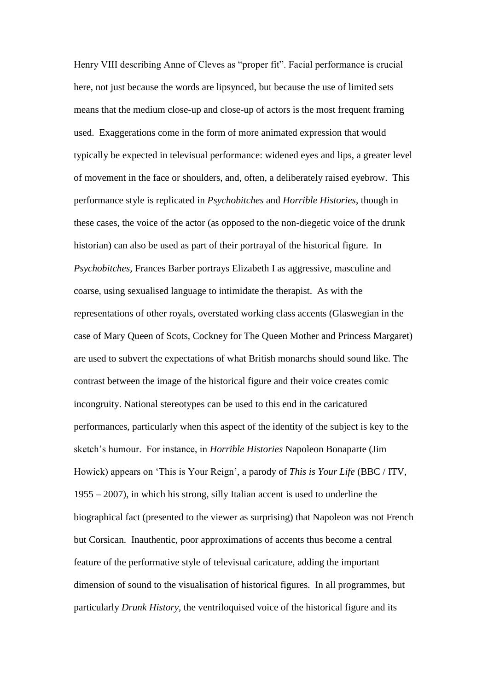Henry VIII describing Anne of Cleves as "proper fit". Facial performance is crucial here, not just because the words are lipsynced, but because the use of limited sets means that the medium close-up and close-up of actors is the most frequent framing used. Exaggerations come in the form of more animated expression that would typically be expected in televisual performance: widened eyes and lips, a greater level of movement in the face or shoulders, and, often, a deliberately raised eyebrow. This performance style is replicated in *Psychobitches* and *Horrible Histories*, though in these cases, the voice of the actor (as opposed to the non-diegetic voice of the drunk historian) can also be used as part of their portrayal of the historical figure. In *Psychobitches,* Frances Barber portrays Elizabeth I as aggressive, masculine and coarse, using sexualised language to intimidate the therapist. As with the representations of other royals, overstated working class accents (Glaswegian in the case of Mary Queen of Scots, Cockney for The Queen Mother and Princess Margaret) are used to subvert the expectations of what British monarchs should sound like. The contrast between the image of the historical figure and their voice creates comic incongruity. National stereotypes can be used to this end in the caricatured performances, particularly when this aspect of the identity of the subject is key to the sketch's humour. For instance, in *Horrible Histories* Napoleon Bonaparte (Jim Howick) appears on 'This is Your Reign', a parody of *This is Your Life* (BBC / ITV, 1955 – 2007), in which his strong, silly Italian accent is used to underline the biographical fact (presented to the viewer as surprising) that Napoleon was not French but Corsican. Inauthentic, poor approximations of accents thus become a central feature of the performative style of televisual caricature, adding the important dimension of sound to the visualisation of historical figures. In all programmes, but particularly *Drunk History,* the ventriloquised voice of the historical figure and its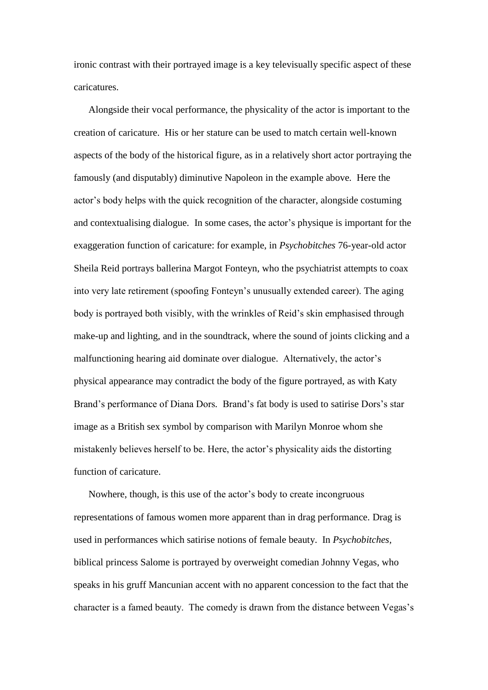ironic contrast with their portrayed image is a key televisually specific aspect of these caricatures.

Alongside their vocal performance, the physicality of the actor is important to the creation of caricature. His or her stature can be used to match certain well-known aspects of the body of the historical figure, as in a relatively short actor portraying the famously (and disputably) diminutive Napoleon in the example above*.* Here the actor's body helps with the quick recognition of the character, alongside costuming and contextualising dialogue. In some cases, the actor's physique is important for the exaggeration function of caricature: for example, in *Psychobitches* 76-year-old actor Sheila Reid portrays ballerina Margot Fonteyn, who the psychiatrist attempts to coax into very late retirement (spoofing Fonteyn's unusually extended career). The aging body is portrayed both visibly, with the wrinkles of Reid's skin emphasised through make-up and lighting, and in the soundtrack, where the sound of joints clicking and a malfunctioning hearing aid dominate over dialogue. Alternatively, the actor's physical appearance may contradict the body of the figure portrayed, as with Katy Brand's performance of Diana Dors*.* Brand's fat body is used to satirise Dors's star image as a British sex symbol by comparison with Marilyn Monroe whom she mistakenly believes herself to be. Here, the actor's physicality aids the distorting function of caricature.

Nowhere, though, is this use of the actor's body to create incongruous representations of famous women more apparent than in drag performance. Drag is used in performances which satirise notions of female beauty. In *Psychobitches,*  biblical princess Salome is portrayed by overweight comedian Johnny Vegas, who speaks in his gruff Mancunian accent with no apparent concession to the fact that the character is a famed beauty. The comedy is drawn from the distance between Vegas's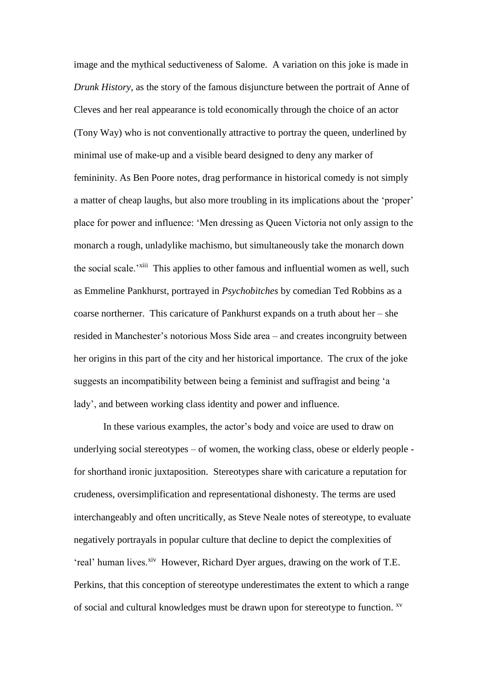image and the mythical seductiveness of Salome. A variation on this joke is made in *Drunk History*, as the story of the famous disjuncture between the portrait of Anne of Cleves and her real appearance is told economically through the choice of an actor (Tony Way) who is not conventionally attractive to portray the queen, underlined by minimal use of make-up and a visible beard designed to deny any marker of femininity. As Ben Poore notes, drag performance in historical comedy is not simply a matter of cheap laughs, but also more troubling in its implications about the 'proper' place for power and influence: 'Men dressing as Queen Victoria not only assign to the monarch a rough, unladylike machismo, but simultaneously take the monarch down the social scale.<sup>'xiii</sup> This applies to other famous and influential women as well, such as Emmeline Pankhurst, portrayed in *Psychobitches* by comedian Ted Robbins as a coarse northerner. This caricature of Pankhurst expands on a truth about her – she resided in Manchester's notorious Moss Side area – and creates incongruity between her origins in this part of the city and her historical importance. The crux of the joke suggests an incompatibility between being a feminist and suffragist and being 'a lady', and between working class identity and power and influence.

In these various examples, the actor's body and voice are used to draw on underlying social stereotypes – of women, the working class, obese or elderly people for shorthand ironic juxtaposition. Stereotypes share with caricature a reputation for crudeness, oversimplification and representational dishonesty. The terms are used interchangeably and often uncritically, as Steve Neale notes of stereotype, to evaluate negatively portrayals in popular culture that decline to depict the complexities of 'real' human lives.<sup>xiv</sup> However, Richard Dyer argues, drawing on the work of T.E. Perkins, that this conception of stereotype underestimates the extent to which a range of social and cultural knowledges must be drawn upon for stereotype to function. xv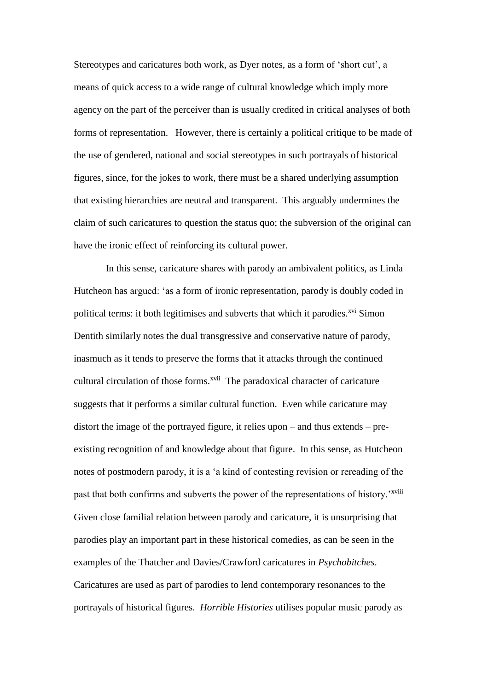Stereotypes and caricatures both work, as Dyer notes, as a form of 'short cut', a means of quick access to a wide range of cultural knowledge which imply more agency on the part of the perceiver than is usually credited in critical analyses of both forms of representation. However, there is certainly a political critique to be made of the use of gendered, national and social stereotypes in such portrayals of historical figures, since, for the jokes to work, there must be a shared underlying assumption that existing hierarchies are neutral and transparent. This arguably undermines the claim of such caricatures to question the status quo; the subversion of the original can have the ironic effect of reinforcing its cultural power.

In this sense, caricature shares with parody an ambivalent politics, as Linda Hutcheon has argued: 'as a form of ironic representation, parody is doubly coded in political terms: it both legitimises and subverts that which it parodies. $x^{vi}$  Simon Dentith similarly notes the dual transgressive and conservative nature of parody, inasmuch as it tends to preserve the forms that it attacks through the continued cultural circulation of those forms.<sup>xvii</sup> The paradoxical character of caricature suggests that it performs a similar cultural function. Even while caricature may distort the image of the portrayed figure, it relies upon – and thus extends – preexisting recognition of and knowledge about that figure. In this sense, as Hutcheon notes of postmodern parody, it is a 'a kind of contesting revision or rereading of the past that both confirms and subverts the power of the representations of history.'<sup>xviii</sup> Given close familial relation between parody and caricature, it is unsurprising that parodies play an important part in these historical comedies, as can be seen in the examples of the Thatcher and Davies/Crawford caricatures in *Psychobitches*. Caricatures are used as part of parodies to lend contemporary resonances to the portrayals of historical figures. *Horrible Histories* utilises popular music parody as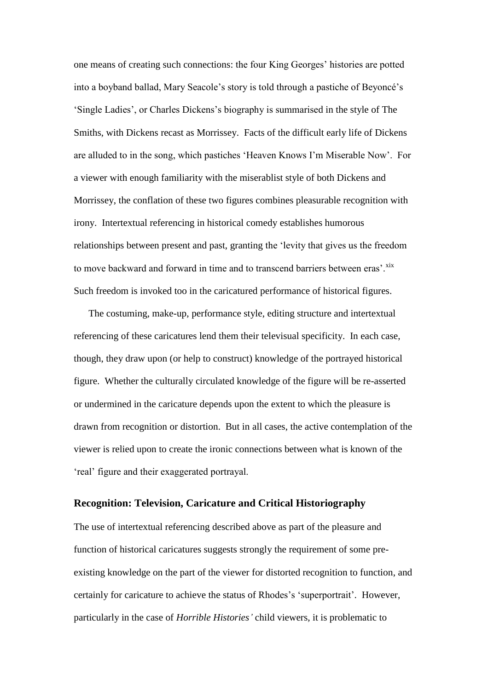one means of creating such connections: the four King Georges' histories are potted into a boyband ballad, Mary Seacole's story is told through a pastiche of Beyoncé's 'Single Ladies', or Charles Dickens's biography is summarised in the style of The Smiths, with Dickens recast as Morrissey. Facts of the difficult early life of Dickens are alluded to in the song, which pastiches 'Heaven Knows I'm Miserable Now'. For a viewer with enough familiarity with the miserablist style of both Dickens and Morrissey, the conflation of these two figures combines pleasurable recognition with irony. Intertextual referencing in historical comedy establishes humorous relationships between present and past, granting the 'levity that gives us the freedom to move backward and forward in time and to transcend barriers between eras'.<sup>xix</sup> Such freedom is invoked too in the caricatured performance of historical figures.

The costuming, make-up, performance style, editing structure and intertextual referencing of these caricatures lend them their televisual specificity. In each case, though, they draw upon (or help to construct) knowledge of the portrayed historical figure. Whether the culturally circulated knowledge of the figure will be re-asserted or undermined in the caricature depends upon the extent to which the pleasure is drawn from recognition or distortion. But in all cases, the active contemplation of the viewer is relied upon to create the ironic connections between what is known of the 'real' figure and their exaggerated portrayal.

#### **Recognition: Television, Caricature and Critical Historiography**

The use of intertextual referencing described above as part of the pleasure and function of historical caricatures suggests strongly the requirement of some preexisting knowledge on the part of the viewer for distorted recognition to function, and certainly for caricature to achieve the status of Rhodes's 'superportrait'. However, particularly in the case of *Horrible Histories'* child viewers*,* it is problematic to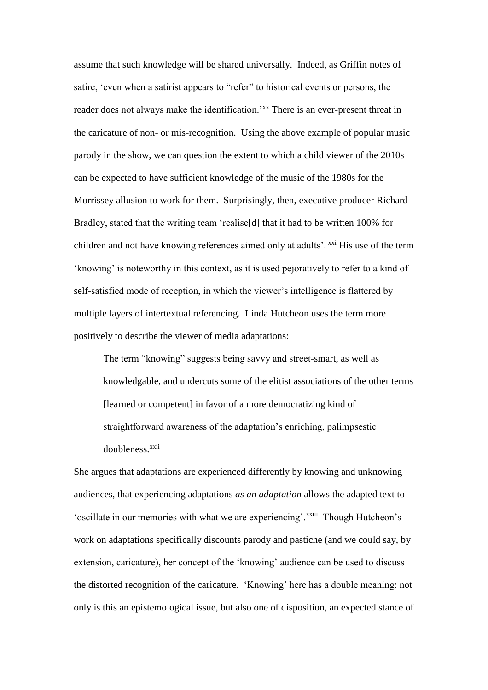assume that such knowledge will be shared universally. Indeed, as Griffin notes of satire, 'even when a satirist appears to "refer" to historical events or persons, the reader does not always make the identification.'<sup>xx</sup> There is an ever-present threat in the caricature of non- or mis-recognition. Using the above example of popular music parody in the show, we can question the extent to which a child viewer of the 2010s can be expected to have sufficient knowledge of the music of the 1980s for the Morrissey allusion to work for them. Surprisingly, then, executive producer Richard Bradley, stated that the writing team 'realise[d] that it had to be written 100% for children and not have knowing references aimed only at adults'. <sup>xxi</sup> His use of the term 'knowing' is noteworthy in this context, as it is used pejoratively to refer to a kind of self-satisfied mode of reception, in which the viewer's intelligence is flattered by multiple layers of intertextual referencing. Linda Hutcheon uses the term more positively to describe the viewer of media adaptations:

The term "knowing" suggests being savvy and street-smart, as well as knowledgable, and undercuts some of the elitist associations of the other terms [learned or competent] in favor of a more democratizing kind of straightforward awareness of the adaptation's enriching, palimpsestic doubleness.<sup>xxii</sup>

She argues that adaptations are experienced differently by knowing and unknowing audiences, that experiencing adaptations *as an adaptation* allows the adapted text to 'oscillate in our memories with what we are experiencing'. XXIII Though Hutcheon's work on adaptations specifically discounts parody and pastiche (and we could say, by extension, caricature), her concept of the 'knowing' audience can be used to discuss the distorted recognition of the caricature. 'Knowing' here has a double meaning: not only is this an epistemological issue, but also one of disposition, an expected stance of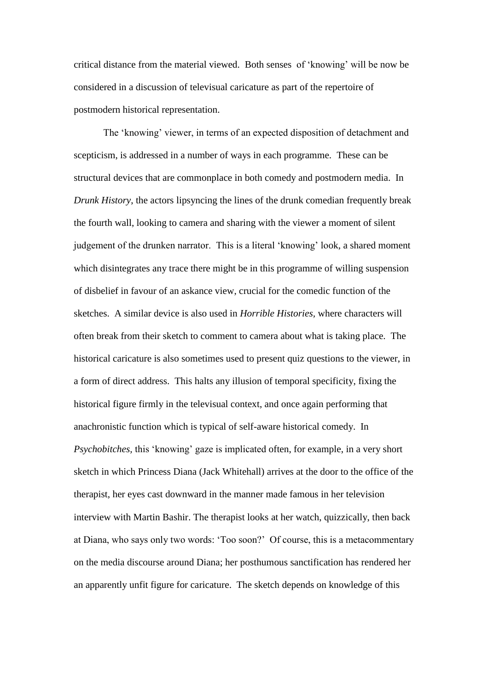critical distance from the material viewed. Both senses of 'knowing' will be now be considered in a discussion of televisual caricature as part of the repertoire of postmodern historical representation.

The 'knowing' viewer, in terms of an expected disposition of detachment and scepticism, is addressed in a number of ways in each programme. These can be structural devices that are commonplace in both comedy and postmodern media. In *Drunk History*, the actors lipsyncing the lines of the drunk comedian frequently break the fourth wall, looking to camera and sharing with the viewer a moment of silent judgement of the drunken narrator. This is a literal 'knowing' look, a shared moment which disintegrates any trace there might be in this programme of willing suspension of disbelief in favour of an askance view, crucial for the comedic function of the sketches. A similar device is also used in *Horrible Histories,* where characters will often break from their sketch to comment to camera about what is taking place. The historical caricature is also sometimes used to present quiz questions to the viewer, in a form of direct address. This halts any illusion of temporal specificity, fixing the historical figure firmly in the televisual context, and once again performing that anachronistic function which is typical of self-aware historical comedy. In *Psychobitches,* this 'knowing' gaze is implicated often, for example, in a very short sketch in which Princess Diana (Jack Whitehall) arrives at the door to the office of the therapist, her eyes cast downward in the manner made famous in her television interview with Martin Bashir. The therapist looks at her watch, quizzically, then back at Diana, who says only two words: 'Too soon?' Of course, this is a metacommentary on the media discourse around Diana; her posthumous sanctification has rendered her an apparently unfit figure for caricature. The sketch depends on knowledge of this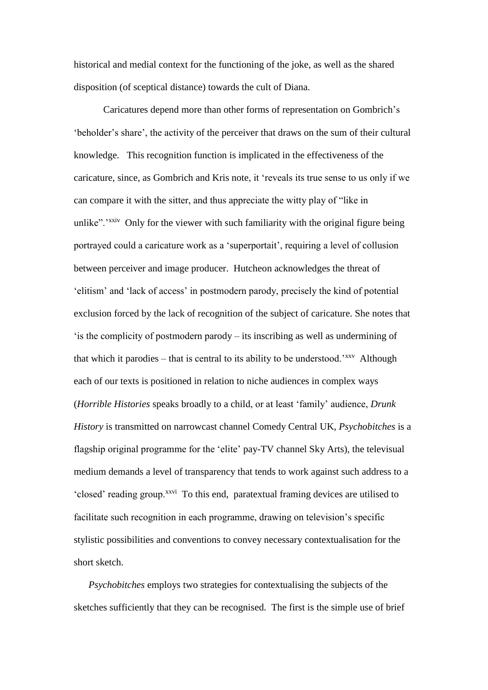historical and medial context for the functioning of the joke, as well as the shared disposition (of sceptical distance) towards the cult of Diana.

Caricatures depend more than other forms of representation on Gombrich's 'beholder's share', the activity of the perceiver that draws on the sum of their cultural knowledge. This recognition function is implicated in the effectiveness of the caricature, since, as Gombrich and Kris note, it 'reveals its true sense to us only if we can compare it with the sitter, and thus appreciate the witty play of "like in unlike".<sup>'xxiv</sup> Only for the viewer with such familiarity with the original figure being portrayed could a caricature work as a 'superportait', requiring a level of collusion between perceiver and image producer. Hutcheon acknowledges the threat of 'elitism' and 'lack of access' in postmodern parody, precisely the kind of potential exclusion forced by the lack of recognition of the subject of caricature. She notes that 'is the complicity of postmodern parody – its inscribing as well as undermining of that which it parodies – that is central to its ability to be understood.<sup>'xxv</sup> Although each of our texts is positioned in relation to niche audiences in complex ways (*Horrible Histories* speaks broadly to a child, or at least 'family' audience, *Drunk History* is transmitted on narrowcast channel Comedy Central UK, *Psychobitches* is a flagship original programme for the 'elite' pay-TV channel Sky Arts), the televisual medium demands a level of transparency that tends to work against such address to a 'closed' reading group.<sup>xxvi</sup> To this end, paratextual framing devices are utilised to facilitate such recognition in each programme, drawing on television's specific stylistic possibilities and conventions to convey necessary contextualisation for the short sketch.

*Psychobitches* employs two strategies for contextualising the subjects of the sketches sufficiently that they can be recognised. The first is the simple use of brief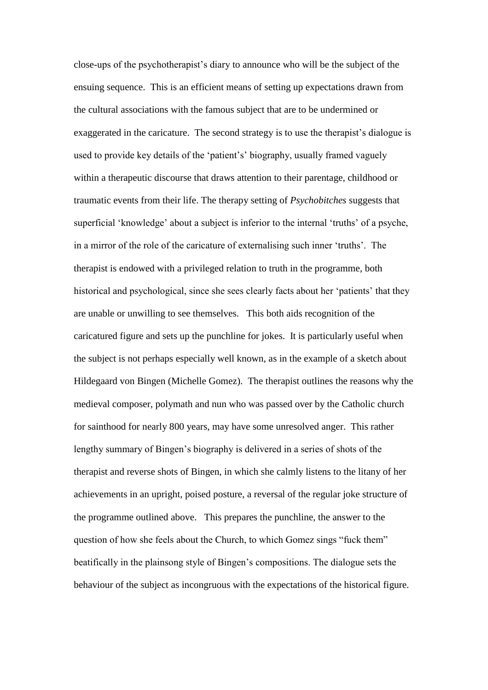close-ups of the psychotherapist's diary to announce who will be the subject of the ensuing sequence. This is an efficient means of setting up expectations drawn from the cultural associations with the famous subject that are to be undermined or exaggerated in the caricature. The second strategy is to use the therapist's dialogue is used to provide key details of the 'patient's' biography, usually framed vaguely within a therapeutic discourse that draws attention to their parentage, childhood or traumatic events from their life. The therapy setting of *Psychobitches* suggests that superficial 'knowledge' about a subject is inferior to the internal 'truths' of a psyche, in a mirror of the role of the caricature of externalising such inner 'truths'. The therapist is endowed with a privileged relation to truth in the programme, both historical and psychological, since she sees clearly facts about her 'patients' that they are unable or unwilling to see themselves. This both aids recognition of the caricatured figure and sets up the punchline for jokes. It is particularly useful when the subject is not perhaps especially well known, as in the example of a sketch about Hildegaard von Bingen (Michelle Gomez). The therapist outlines the reasons why the medieval composer, polymath and nun who was passed over by the Catholic church for sainthood for nearly 800 years, may have some unresolved anger. This rather lengthy summary of Bingen's biography is delivered in a series of shots of the therapist and reverse shots of Bingen, in which she calmly listens to the litany of her achievements in an upright, poised posture, a reversal of the regular joke structure of the programme outlined above. This prepares the punchline, the answer to the question of how she feels about the Church, to which Gomez sings "fuck them" beatifically in the plainsong style of Bingen's compositions. The dialogue sets the behaviour of the subject as incongruous with the expectations of the historical figure.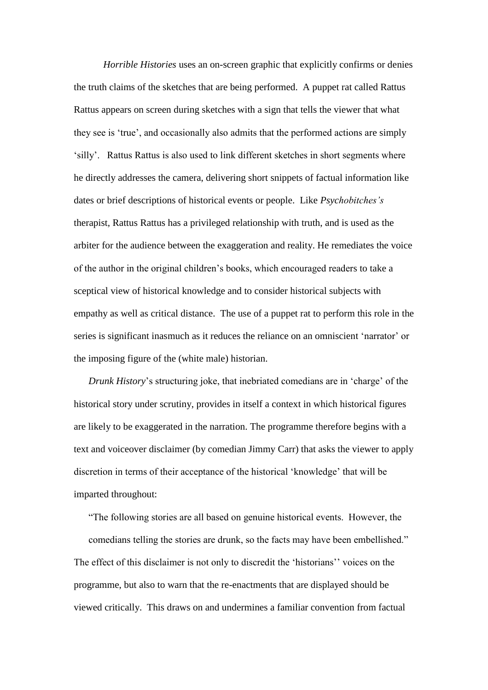*Horrible Histories* uses an on-screen graphic that explicitly confirms or denies the truth claims of the sketches that are being performed. A puppet rat called Rattus Rattus appears on screen during sketches with a sign that tells the viewer that what they see is 'true', and occasionally also admits that the performed actions are simply 'silly'. Rattus Rattus is also used to link different sketches in short segments where he directly addresses the camera, delivering short snippets of factual information like dates or brief descriptions of historical events or people. Like *Psychobitches's*  therapist, Rattus Rattus has a privileged relationship with truth, and is used as the arbiter for the audience between the exaggeration and reality. He remediates the voice of the author in the original children's books, which encouraged readers to take a sceptical view of historical knowledge and to consider historical subjects with empathy as well as critical distance. The use of a puppet rat to perform this role in the series is significant inasmuch as it reduces the reliance on an omniscient 'narrator' or the imposing figure of the (white male) historian.

*Drunk History's* structuring joke, that inebriated comedians are in 'charge' of the historical story under scrutiny, provides in itself a context in which historical figures are likely to be exaggerated in the narration. The programme therefore begins with a text and voiceover disclaimer (by comedian Jimmy Carr) that asks the viewer to apply discretion in terms of their acceptance of the historical 'knowledge' that will be imparted throughout:

"The following stories are all based on genuine historical events. However, the comedians telling the stories are drunk, so the facts may have been embellished." The effect of this disclaimer is not only to discredit the 'historians'' voices on the programme, but also to warn that the re-enactments that are displayed should be viewed critically. This draws on and undermines a familiar convention from factual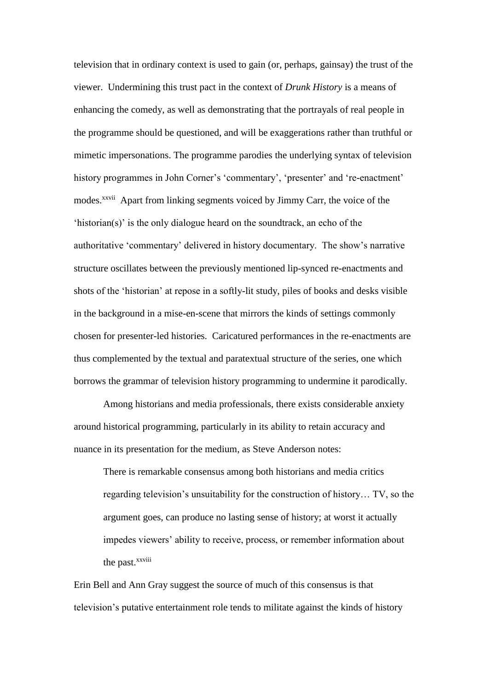television that in ordinary context is used to gain (or, perhaps, gainsay) the trust of the viewer. Undermining this trust pact in the context of *Drunk History* is a means of enhancing the comedy, as well as demonstrating that the portrayals of real people in the programme should be questioned, and will be exaggerations rather than truthful or mimetic impersonations. The programme parodies the underlying syntax of television history programmes in John Corner's 'commentary', 'presenter' and 're-enactment' modes.<sup>xxvii</sup> Apart from linking segments voiced by Jimmy Carr, the voice of the 'historian(s)' is the only dialogue heard on the soundtrack, an echo of the authoritative 'commentary' delivered in history documentary. The show's narrative structure oscillates between the previously mentioned lip-synced re-enactments and shots of the 'historian' at repose in a softly-lit study, piles of books and desks visible in the background in a mise-en-scene that mirrors the kinds of settings commonly chosen for presenter-led histories. Caricatured performances in the re-enactments are thus complemented by the textual and paratextual structure of the series, one which borrows the grammar of television history programming to undermine it parodically.

Among historians and media professionals, there exists considerable anxiety around historical programming, particularly in its ability to retain accuracy and nuance in its presentation for the medium, as Steve Anderson notes:

There is remarkable consensus among both historians and media critics regarding television's unsuitability for the construction of history… TV, so the argument goes, can produce no lasting sense of history; at worst it actually impedes viewers' ability to receive, process, or remember information about the past.<sup>xxviii</sup>

Erin Bell and Ann Gray suggest the source of much of this consensus is that television's putative entertainment role tends to militate against the kinds of history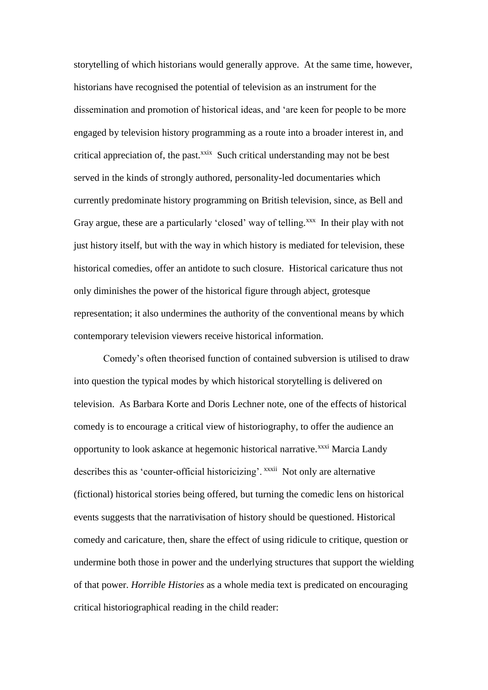storytelling of which historians would generally approve. At the same time, however, historians have recognised the potential of television as an instrument for the dissemination and promotion of historical ideas, and 'are keen for people to be more engaged by television history programming as a route into a broader interest in, and critical appreciation of, the past. $x$ <sup>xxix</sup> Such critical understanding may not be best served in the kinds of strongly authored, personality-led documentaries which currently predominate history programming on British television, since, as Bell and Gray argue, these are a particularly 'closed' way of telling.<sup>xxx</sup> In their play with not just history itself, but with the way in which history is mediated for television, these historical comedies, offer an antidote to such closure. Historical caricature thus not only diminishes the power of the historical figure through abject, grotesque representation; it also undermines the authority of the conventional means by which contemporary television viewers receive historical information.

Comedy's often theorised function of contained subversion is utilised to draw into question the typical modes by which historical storytelling is delivered on television. As Barbara Korte and Doris Lechner note, one of the effects of historical comedy is to encourage a critical view of historiography, to offer the audience an opportunity to look askance at hegemonic historical narrative.<sup>xxxi</sup> Marcia Landy describes this as 'counter-official historicizing'. xxxii Not only are alternative (fictional) historical stories being offered, but turning the comedic lens on historical events suggests that the narrativisation of history should be questioned. Historical comedy and caricature, then, share the effect of using ridicule to critique, question or undermine both those in power and the underlying structures that support the wielding of that power. *Horrible Histories* as a whole media text is predicated on encouraging critical historiographical reading in the child reader: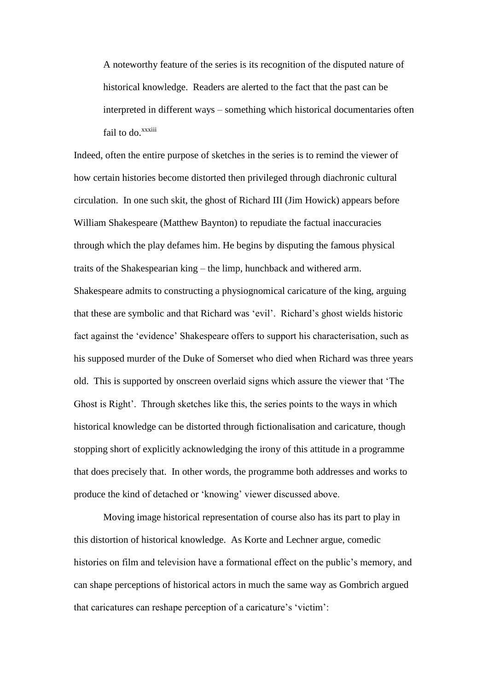A noteworthy feature of the series is its recognition of the disputed nature of historical knowledge. Readers are alerted to the fact that the past can be interpreted in different ways – something which historical documentaries often fail to do.<sup>xxxiii</sup>

Indeed, often the entire purpose of sketches in the series is to remind the viewer of how certain histories become distorted then privileged through diachronic cultural circulation. In one such skit, the ghost of Richard III (Jim Howick) appears before William Shakespeare (Matthew Baynton) to repudiate the factual inaccuracies through which the play defames him. He begins by disputing the famous physical traits of the Shakespearian king – the limp, hunchback and withered arm. Shakespeare admits to constructing a physiognomical caricature of the king, arguing that these are symbolic and that Richard was 'evil'. Richard's ghost wields historic fact against the 'evidence' Shakespeare offers to support his characterisation, such as his supposed murder of the Duke of Somerset who died when Richard was three years old. This is supported by onscreen overlaid signs which assure the viewer that 'The Ghost is Right'. Through sketches like this, the series points to the ways in which historical knowledge can be distorted through fictionalisation and caricature, though stopping short of explicitly acknowledging the irony of this attitude in a programme that does precisely that. In other words, the programme both addresses and works to produce the kind of detached or 'knowing' viewer discussed above.

Moving image historical representation of course also has its part to play in this distortion of historical knowledge. As Korte and Lechner argue, comedic histories on film and television have a formational effect on the public's memory, and can shape perceptions of historical actors in much the same way as Gombrich argued that caricatures can reshape perception of a caricature's 'victim':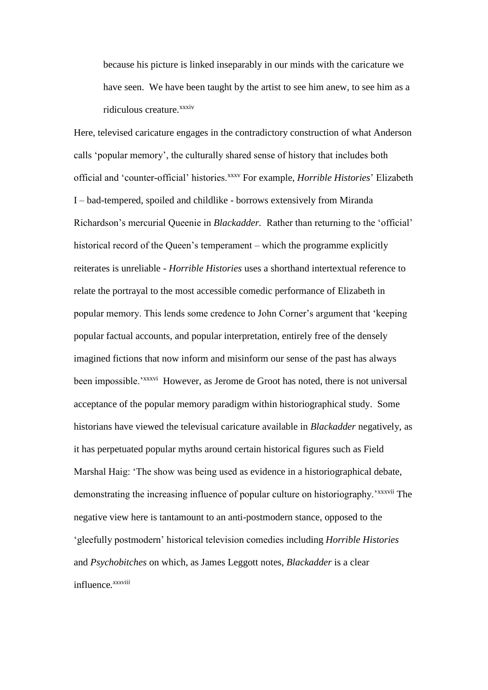because his picture is linked inseparably in our minds with the caricature we have seen. We have been taught by the artist to see him anew, to see him as a ridiculous creature.<sup>xxxiv</sup>

Here, televised caricature engages in the contradictory construction of what Anderson calls 'popular memory', the culturally shared sense of history that includes both official and 'counter-official' histories.<sup>xxxv</sup> For example, *Horrible Histories*' Elizabeth I – bad-tempered, spoiled and childlike - borrows extensively from Miranda Richardson's mercurial Queenie in *Blackadder.* Rather than returning to the 'official' historical record of the Queen's temperament – which the programme explicitly reiterates is unreliable - *Horrible Histories* uses a shorthand intertextual reference to relate the portrayal to the most accessible comedic performance of Elizabeth in popular memory. This lends some credence to John Corner's argument that 'keeping popular factual accounts, and popular interpretation, entirely free of the densely imagined fictions that now inform and misinform our sense of the past has always been impossible.<sup>'xxxvi</sup> However, as Jerome de Groot has noted, there is not universal acceptance of the popular memory paradigm within historiographical study. Some historians have viewed the televisual caricature available in *Blackadder* negatively, as it has perpetuated popular myths around certain historical figures such as Field Marshal Haig: 'The show was being used as evidence in a historiographical debate, demonstrating the increasing influence of popular culture on historiography.<sup>\*\*\*\*\*\*i</sup> The negative view here is tantamount to an anti-postmodern stance, opposed to the 'gleefully postmodern' historical television comedies including *Horrible Histories*  and *Psychobitches* on which, as James Leggott notes, *Blackadder* is a clear influence*. xxxviii*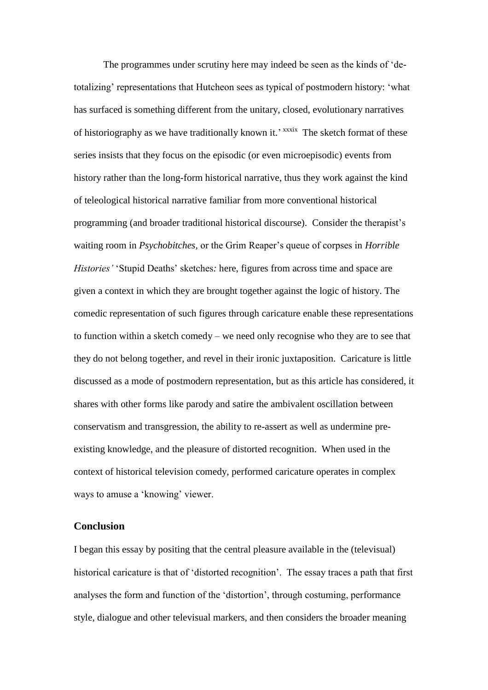The programmes under scrutiny here may indeed be seen as the kinds of 'detotalizing' representations that Hutcheon sees as typical of postmodern history: 'what has surfaced is something different from the unitary, closed, evolutionary narratives of historiography as we have traditionally known it.' xxxix The sketch format of these series insists that they focus on the episodic (or even microepisodic) events from history rather than the long-form historical narrative, thus they work against the kind of teleological historical narrative familiar from more conventional historical programming (and broader traditional historical discourse). Consider the therapist's waiting room in *Psychobitches,* or the Grim Reaper's queue of corpses in *Horrible Histories'* 'Stupid Deaths' sketches*:* here, figures from across time and space are given a context in which they are brought together against the logic of history. The comedic representation of such figures through caricature enable these representations to function within a sketch comedy – we need only recognise who they are to see that they do not belong together, and revel in their ironic juxtaposition. Caricature is little discussed as a mode of postmodern representation, but as this article has considered, it shares with other forms like parody and satire the ambivalent oscillation between conservatism and transgression, the ability to re-assert as well as undermine preexisting knowledge, and the pleasure of distorted recognition. When used in the context of historical television comedy, performed caricature operates in complex ways to amuse a 'knowing' viewer.

## **Conclusion**

I began this essay by positing that the central pleasure available in the (televisual) historical caricature is that of 'distorted recognition'. The essay traces a path that first analyses the form and function of the 'distortion', through costuming, performance style, dialogue and other televisual markers, and then considers the broader meaning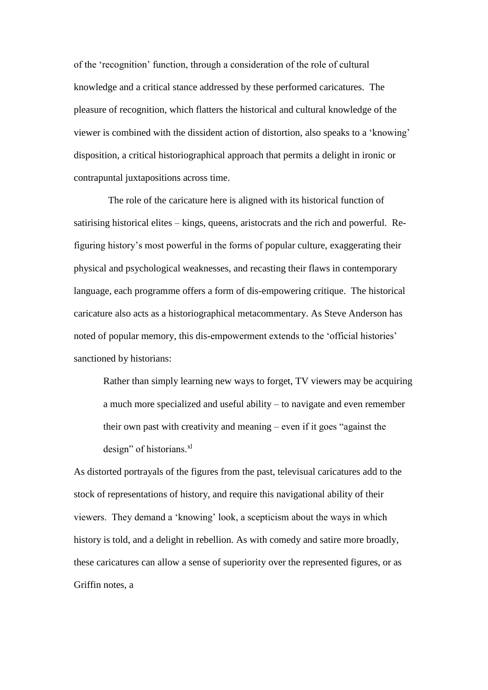of the 'recognition' function, through a consideration of the role of cultural knowledge and a critical stance addressed by these performed caricatures. The pleasure of recognition, which flatters the historical and cultural knowledge of the viewer is combined with the dissident action of distortion, also speaks to a 'knowing' disposition, a critical historiographical approach that permits a delight in ironic or contrapuntal juxtapositions across time.

 The role of the caricature here is aligned with its historical function of satirising historical elites – kings, queens, aristocrats and the rich and powerful. Refiguring history's most powerful in the forms of popular culture, exaggerating their physical and psychological weaknesses, and recasting their flaws in contemporary language, each programme offers a form of dis-empowering critique. The historical caricature also acts as a historiographical metacommentary. As Steve Anderson has noted of popular memory, this dis-empowerment extends to the 'official histories' sanctioned by historians:

Rather than simply learning new ways to forget, TV viewers may be acquiring a much more specialized and useful ability – to navigate and even remember their own past with creativity and meaning – even if it goes "against the design" of historians.<sup>xl</sup>

As distorted portrayals of the figures from the past, televisual caricatures add to the stock of representations of history, and require this navigational ability of their viewers. They demand a 'knowing' look, a scepticism about the ways in which history is told, and a delight in rebellion. As with comedy and satire more broadly, these caricatures can allow a sense of superiority over the represented figures, or as Griffin notes, a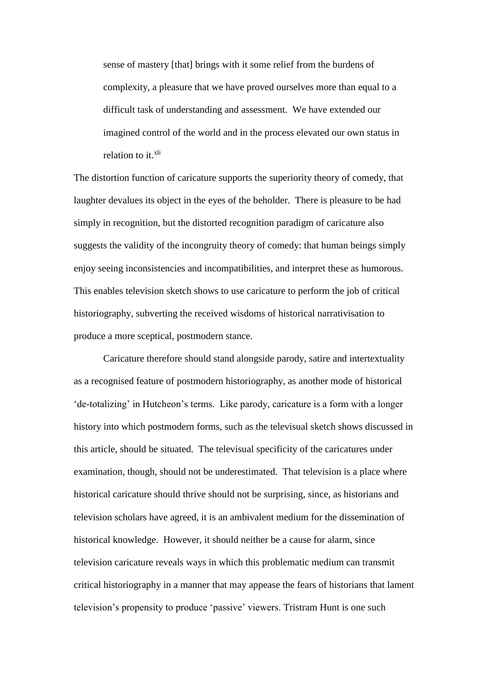sense of mastery [that] brings with it some relief from the burdens of complexity, a pleasure that we have proved ourselves more than equal to a difficult task of understanding and assessment. We have extended our imagined control of the world and in the process elevated our own status in relation to it.<sup>xli</sup>

The distortion function of caricature supports the superiority theory of comedy, that laughter devalues its object in the eyes of the beholder. There is pleasure to be had simply in recognition, but the distorted recognition paradigm of caricature also suggests the validity of the incongruity theory of comedy: that human beings simply enjoy seeing inconsistencies and incompatibilities, and interpret these as humorous. This enables television sketch shows to use caricature to perform the job of critical historiography, subverting the received wisdoms of historical narrativisation to produce a more sceptical, postmodern stance.

Caricature therefore should stand alongside parody, satire and intertextuality as a recognised feature of postmodern historiography, as another mode of historical 'de-totalizing' in Hutcheon's terms. Like parody, caricature is a form with a longer history into which postmodern forms, such as the televisual sketch shows discussed in this article, should be situated. The televisual specificity of the caricatures under examination, though, should not be underestimated. That television is a place where historical caricature should thrive should not be surprising, since, as historians and television scholars have agreed, it is an ambivalent medium for the dissemination of historical knowledge. However, it should neither be a cause for alarm, since television caricature reveals ways in which this problematic medium can transmit critical historiography in a manner that may appease the fears of historians that lament television's propensity to produce 'passive' viewers. Tristram Hunt is one such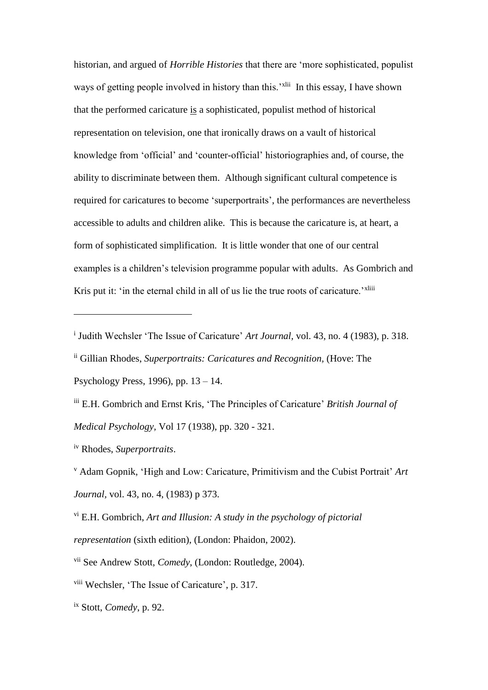historian, and argued of *Horrible Histories* that there are 'more sophisticated, populist ways of getting people involved in history than this.'<sup>xlii</sup> In this essay, I have shown that the performed caricature is a sophisticated, populist method of historical representation on television, one that ironically draws on a vault of historical knowledge from 'official' and 'counter-official' historiographies and, of course, the ability to discriminate between them. Although significant cultural competence is required for caricatures to become 'superportraits', the performances are nevertheless accessible to adults and children alike. This is because the caricature is, at heart, a form of sophisticated simplification. It is little wonder that one of our central examples is a children's television programme popular with adults. As Gombrich and Kris put it: 'in the eternal child in all of us lie the true roots of caricature.'<sup>xliii</sup>

 $\overline{a}$ 

<sup>&</sup>lt;sup>i</sup> Judith Wechsler 'The Issue of Caricature' *Art Journal*, vol. 43, no. 4 (1983), p. 318.

ii Gillian Rhodes, *Superportraits: Caricatures and Recognition,* (Hove: The Psychology Press, 1996), pp. 13 – 14.

iii E.H. Gombrich and Ernst Kris, 'The Principles of Caricature' *British Journal of Medical Psychology,* Vol 17 (1938), pp. 320 - 321.

iv Rhodes, *Superportraits*.

<sup>v</sup> Adam Gopnik, 'High and Low: Caricature, Primitivism and the Cubist Portrait' *Art Journal,* vol. 43, no. 4, (1983) p 373.

vi E.H. Gombrich, *Art and Illusion: A study in the psychology of pictorial representation* (sixth edition), (London: Phaidon, 2002).

vii See Andrew Stott, *Comedy*, (London: Routledge, 2004).

viii Wechsler, 'The Issue of Caricature', p. 317.

ix Stott, *Comedy*, p. 92.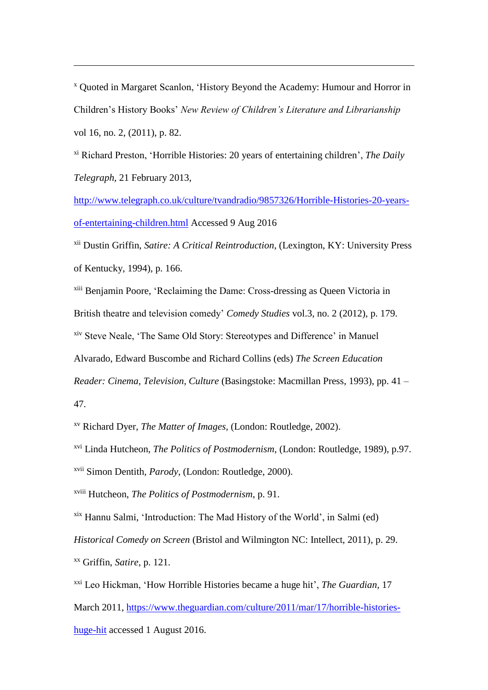<sup>x</sup> Quoted in Margaret Scanlon, 'History Beyond the Academy: Humour and Horror in Children's History Books' *New Review of Children's Literature and Librarianship*  vol 16, no. 2, (2011), p. 82.

xi Richard Preston, 'Horrible Histories: 20 years of entertaining children', *The Daily Telegraph,* 21 February 2013,

[http://www.telegraph.co.uk/culture/tvandradio/9857326/Horrible-Histories-20-years](http://www.telegraph.co.uk/culture/tvandradio/9857326/Horrible-Histories-20-years-of-entertaining-children.html)[of-entertaining-children.html](http://www.telegraph.co.uk/culture/tvandradio/9857326/Horrible-Histories-20-years-of-entertaining-children.html) Accessed 9 Aug 2016

xii Dustin Griffin, *Satire: A Critical Reintroduction*, (Lexington, KY: University Press of Kentucky, 1994), p. 166.

xiii Benjamin Poore, 'Reclaiming the Dame: Cross-dressing as Queen Victoria in British theatre and television comedy' *Comedy Studies* vol.3, no. 2 (2012), p. 179. xiv Steve Neale, 'The Same Old Story: Stereotypes and Difference' in Manuel Alvarado, Edward Buscombe and Richard Collins (eds) *The Screen Education Reader: Cinema, Television, Culture* (Basingstoke: Macmillan Press, 1993), pp. 41 –

47.

l

xv Richard Dyer, *The Matter of Images,* (London: Routledge, 2002).

xvi Linda Hutcheon, *The Politics of Postmodernism*, (London: Routledge, 1989), p.97.

xvii Simon Dentith, *Parody*, (London: Routledge, 2000).

xviii Hutcheon, *The Politics of Postmodernism*, p. 91.

xix Hannu Salmi, 'Introduction: The Mad History of the World', in Salmi (ed)

*Historical Comedy on Screen* (Bristol and Wilmington NC: Intellect, 2011), p. 29.

xx Griffin, *Satire,* p. 121.

xxi Leo Hickman, 'How Horrible Histories became a huge hit', *The Guardian,* 17 March 2011, [https://www.theguardian.com/culture/2011/mar/17/horrible-histories](https://www.theguardian.com/culture/2011/mar/17/horrible-histories-huge-hit)[huge-hit](https://www.theguardian.com/culture/2011/mar/17/horrible-histories-huge-hit) accessed 1 August 2016.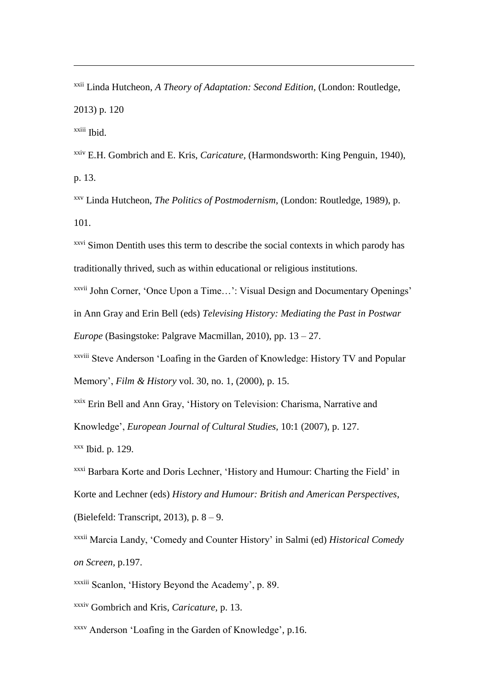xxii Linda Hutcheon, *A Theory of Adaptation: Second Edition,* (London: Routledge, 2013) p. 120 xxiii Ibid.

xxiv E.H. Gombrich and E. Kris, *Caricature,* (Harmondsworth: King Penguin, 1940), p. 13.

xxv Linda Hutcheon, *The Politics of Postmodernism*, (London: Routledge, 1989), p. 101.

<sup>xxvi</sup> Simon Dentith uses this term to describe the social contexts in which parody has traditionally thrived, such as within educational or religious institutions.

xxvii John Corner, 'Once Upon a Time…': Visual Design and Documentary Openings' in Ann Gray and Erin Bell (eds) *Televising History: Mediating the Past in Postwar Europe* (Basingstoke: Palgrave Macmillan, 2010), pp. 13 – 27.

xxviii Steve Anderson 'Loafing in the Garden of Knowledge: History TV and Popular Memory', *Film & History* vol. 30, no. 1, (2000), p. 15.

xxix Erin Bell and Ann Gray, 'History on Television: Charisma, Narrative and

Knowledge', *European Journal of Cultural Studies,* 10:1 (2007), p. 127.

 $xxx$  Ibid. p. 129.

l

xxxi Barbara Korte and Doris Lechner, 'History and Humour: Charting the Field' in Korte and Lechner (eds) *History and Humour: British and American Perspectives*, (Bielefeld: Transcript, 2013), p. 8 – 9.

xxxii Marcia Landy, 'Comedy and Counter History' in Salmi (ed) *Historical Comedy on Screen,* p.197.

xxxiii Scanlon, 'History Beyond the Academy', p. 89.

xxxiv Gombrich and Kris, *Caricature,* p. 13.

xxxv Anderson 'Loafing in the Garden of Knowledge', p.16.